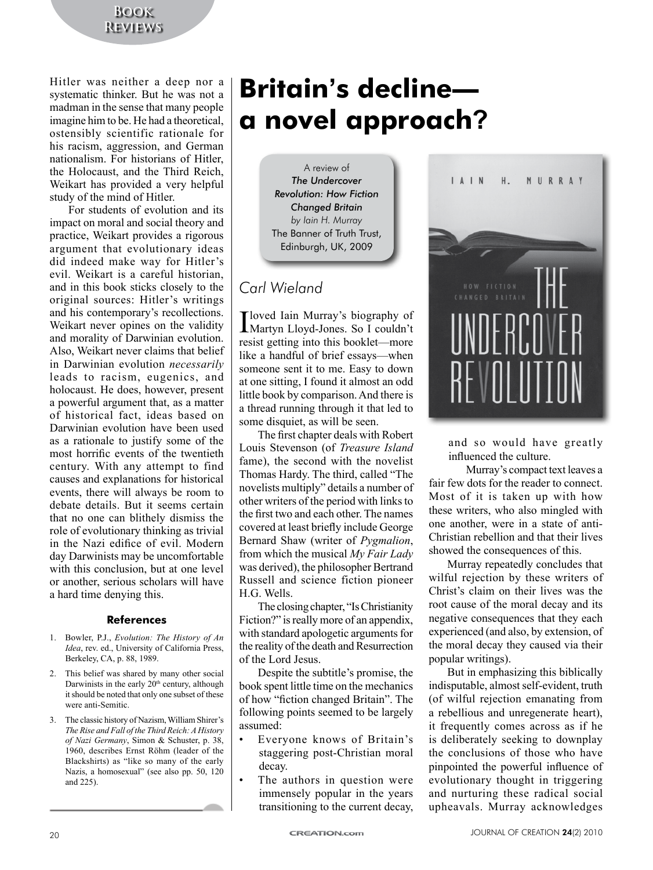### **Book Reviews**

Hitler was neither a deep nor a systematic thinker. But he was not a madman in the sense that many people imagine him to be. He had a theoretical, ostensibly scientific rationale for his racism, aggression, and German nationalism. For historians of Hitler, the Holocaust, and the Third Reich, Weikart has provided a very helpful study of the mind of Hitler.

For students of evolution and its impact on moral and social theory and practice, Weikart provides a rigorous argument that evolutionary ideas did indeed make way for Hitler's evil. Weikart is a careful historian, and in this book sticks closely to the original sources: Hitler's writings and his contemporary's recollections. Weikart never opines on the validity and morality of Darwinian evolution. Also, Weikart never claims that belief in Darwinian evolution *necessarily* leads to racism, eugenics, and holocaust. He does, however, present a powerful argument that, as a matter of historical fact, ideas based on Darwinian evolution have been used as a rationale to justify some of the most horrific events of the twentieth century. With any attempt to find causes and explanations for historical events, there will always be room to debate details. But it seems certain that no one can blithely dismiss the role of evolutionary thinking as trivial in the Nazi edifice of evil. Modern day Darwinists may be uncomfortable with this conclusion, but at one level or another, serious scholars will have a hard time denying this.

#### **References**

- 1. Bowler, P.J., *Evolution: The History of An Idea*, rev. ed., University of California Press, Berkeley, CA, p. 88, 1989.
- 2. This belief was shared by many other social Darwinists in the early  $20<sup>th</sup>$  century, although it should be noted that only one subset of these were anti-Semitic.
- 3. The classic history of Nazism, William Shirer's *The Rise and Fall of the Third Reich: A History of Nazi Germany*, Simon & Schuster, p. 38, 1960, describes Ernst Röhm (leader of the Blackshirts) as "like so many of the early Nazis, a homosexual" (see also pp. 50, 120 and 225).

# **Britain's decline a novel approach?**

A review of *The Undercover Revolution: How Fiction Changed Britain by Iain H. Murray* The Banner of Truth Trust, Edinburgh, UK, 2009

## *Carl Wieland*

I loved Iain Murray's biography of Martyn Lloyd-Jones. So I couldn't resist getting into this booklet—more like a handful of brief essays—when someone sent it to me. Easy to down at one sitting, I found it almost an odd little book by comparison. And there is a thread running through it that led to some disquiet, as will be seen.

The first chapter deals with Robert Louis Stevenson (of *Treasure Island* fame), the second with the novelist Thomas Hardy. The third, called "The novelists multiply" details a number of other writers of the period with links to the first two and each other. The names covered at least briefly include George Bernard Shaw (writer of *Pygmalion*, from which the musical *My Fair Lady* was derived), the philosopher Bertrand Russell and science fiction pioneer H.G. Wells.

The closing chapter, "Is Christianity Fiction?" is really more of an appendix, with standard apologetic arguments for the reality of the death and Resurrection of the Lord Jesus.

Despite the subtitle's promise, the book spent little time on the mechanics of how "fiction changed Britain". The following points seemed to be largely assumed:

- Everyone knows of Britain's staggering post-Christian moral decay.
- The authors in question were immensely popular in the years transitioning to the current decay,



and so would have greatly influenced the culture.

Murray's compact text leaves a fair few dots for the reader to connect. Most of it is taken up with how these writers, who also mingled with one another, were in a state of anti-Christian rebellion and that their lives showed the consequences of this.

Murray repeatedly concludes that wilful rejection by these writers of Christ's claim on their lives was the root cause of the moral decay and its negative consequences that they each experienced (and also, by extension, of the moral decay they caused via their popular writings).

But in emphasizing this biblically indisputable, almost self-evident, truth (of wilful rejection emanating from a rebellious and unregenerate heart), it frequently comes across as if he is deliberately seeking to downplay the conclusions of those who have pinpointed the powerful influence of evolutionary thought in triggering and nurturing these radical social upheavals. Murray acknowledges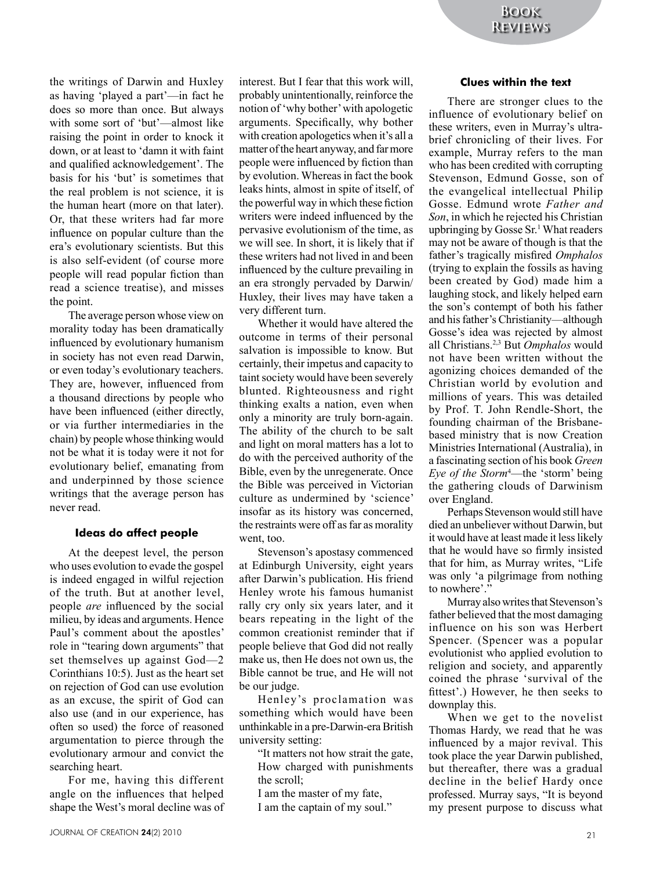the writings of Darwin and Huxley as having 'played a part'—in fact he does so more than once. But always with some sort of 'but'—almost like raising the point in order to knock it down, or at least to 'damn it with faint and qualified acknowledgement'. The basis for his 'but' is sometimes that the real problem is not science, it is the human heart (more on that later). Or, that these writers had far more influence on popular culture than the era's evolutionary scientists. But this is also self-evident (of course more people will read popular fiction than read a science treatise), and misses the point.

The average person whose view on morality today has been dramatically influenced by evolutionary humanism in society has not even read Darwin, or even today's evolutionary teachers. They are, however, influenced from a thousand directions by people who have been influenced (either directly, or via further intermediaries in the chain) by people whose thinking would not be what it is today were it not for evolutionary belief, emanating from and underpinned by those science writings that the average person has never read.

#### **Ideas do affect people**

At the deepest level, the person who uses evolution to evade the gospel is indeed engaged in wilful rejection of the truth. But at another level, people *are* influenced by the social milieu, by ideas and arguments. Hence Paul's comment about the apostles' role in "tearing down arguments" that set themselves up against God—2 Corinthians 10:5). Just as the heart set on rejection of God can use evolution as an excuse, the spirit of God can also use (and in our experience, has often so used) the force of reasoned argumentation to pierce through the evolutionary armour and convict the searching heart.

For me, having this different angle on the influences that helped shape the West's moral decline was of interest. But I fear that this work will, probably unintentionally, reinforce the notion of 'why bother' with apologetic arguments. Specifically, why bother with creation apologetics when it's all a matter of the heart anyway, and far more people were influenced by fiction than by evolution. Whereas in fact the book leaks hints, almost in spite of itself, of the powerful way in which these fiction writers were indeed influenced by the pervasive evolutionism of the time, as we will see. In short, it is likely that if these writers had not lived in and been influenced by the culture prevailing in an era strongly pervaded by Darwin/ Huxley, their lives may have taken a very different turn.

Whether it would have altered the outcome in terms of their personal salvation is impossible to know. But certainly, their impetus and capacity to taint society would have been severely blunted. Righteousness and right thinking exalts a nation, even when only a minority are truly born-again. The ability of the church to be salt and light on moral matters has a lot to do with the perceived authority of the Bible, even by the unregenerate. Once the Bible was perceived in Victorian culture as undermined by 'science' insofar as its history was concerned, the restraints were off as far as morality went, too.

Stevenson's apostasy commenced at Edinburgh University, eight years after Darwin's publication. His friend Henley wrote his famous humanist rally cry only six years later, and it bears repeating in the light of the common creationist reminder that if people believe that God did not really make us, then He does not own us, the Bible cannot be true, and He will not be our judge.

Henley's proclamation was something which would have been unthinkable in a pre-Darwin-era British university setting:

"It matters not how strait the gate, How charged with punishments the scroll;

- I am the master of my fate,
- I am the captain of my soul."

#### **Clues within the text**

There are stronger clues to the influence of evolutionary belief on these writers, even in Murray's ultrabrief chronicling of their lives. For example, Murray refers to the man who has been credited with corrupting Stevenson, Edmund Gosse, son of the evangelical intellectual Philip Gosse. Edmund wrote *Father and Son*, in which he rejected his Christian upbringing by Gosse Sr.<sup>1</sup> What readers may not be aware of though is that the father's tragically misfired *Omphalos* (trying to explain the fossils as having been created by God) made him a laughing stock, and likely helped earn the son's contempt of both his father and his father's Christianity—although Gosse's idea was rejected by almost all Christians.2,3 But *Omphalos* would not have been written without the agonizing choices demanded of the Christian world by evolution and millions of years. This was detailed by Prof. T. John Rendle-Short, the founding chairman of the Brisbanebased ministry that is now Creation Ministries International (Australia), in a fascinating section of his book *Green Eye of the Storm*<sup>4</sup> —the 'storm' being the gathering clouds of Darwinism over England.

Perhaps Stevenson would still have died an unbeliever without Darwin, but it would have at least made it less likely that he would have so firmly insisted that for him, as Murray writes, "Life was only 'a pilgrimage from nothing to nowhere'."

Murray also writes that Stevenson's father believed that the most damaging influence on his son was Herbert Spencer. (Spencer was a popular evolutionist who applied evolution to religion and society, and apparently coined the phrase 'survival of the fittest'.) However, he then seeks to downplay this.

When we get to the novelist Thomas Hardy, we read that he was influenced by a major revival. This took place the year Darwin published, but thereafter, there was a gradual decline in the belief Hardy once professed. Murray says, "It is beyond my present purpose to discuss what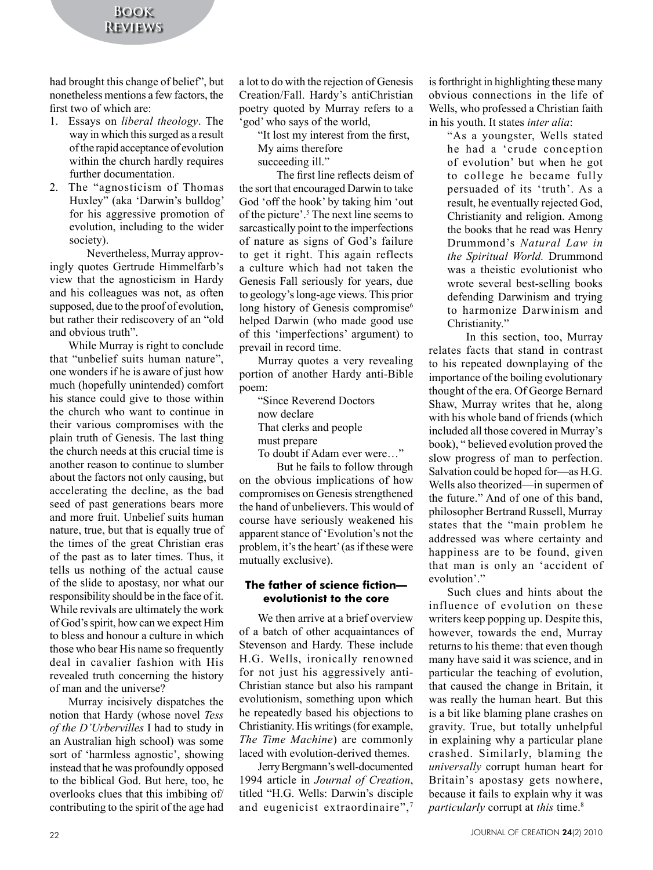had brought this change of belief", but nonetheless mentions a few factors, the first two of which are:

- 1. Essays on *liberal theology*. The way in which this surged as a result of the rapid acceptance of evolution within the church hardly requires further documentation.
- 2. The "agnosticism of Thomas Huxley" (aka 'Darwin's bulldog' for his aggressive promotion of evolution, including to the wider society).

Nevertheless, Murray approvingly quotes Gertrude Himmelfarb's view that the agnosticism in Hardy and his colleagues was not, as often supposed, due to the proof of evolution, but rather their rediscovery of an "old and obvious truth".

While Murray is right to conclude that "unbelief suits human nature", one wonders if he is aware of just how much (hopefully unintended) comfort his stance could give to those within the church who want to continue in their various compromises with the plain truth of Genesis. The last thing the church needs at this crucial time is another reason to continue to slumber about the factors not only causing, but accelerating the decline, as the bad seed of past generations bears more and more fruit. Unbelief suits human nature, true, but that is equally true of the times of the great Christian eras of the past as to later times. Thus, it tells us nothing of the actual cause of the slide to apostasy, nor what our responsibility should be in the face of it. While revivals are ultimately the work of God's spirit, how can we expect Him to bless and honour a culture in which those who bear His name so frequently deal in cavalier fashion with His revealed truth concerning the history of man and the universe?

Murray incisively dispatches the notion that Hardy (whose novel *Tess of the D'Urbervilles* I had to study in an Australian high school) was some sort of 'harmless agnostic', showing instead that he was profoundly opposed to the biblical God. But here, too, he overlooks clues that this imbibing of/ contributing to the spirit of the age had a lot to do with the rejection of Genesis Creation/Fall. Hardy's antiChristian poetry quoted by Murray refers to a 'god' who says of the world,

"It lost my interest from the first,

My aims therefore

succeeding ill."

The first line reflects deism of the sort that encouraged Darwin to take God 'off the hook' by taking him 'out of the picture'.5 The next line seems to sarcastically point to the imperfections of nature as signs of God's failure to get it right. This again reflects a culture which had not taken the Genesis Fall seriously for years, due to geology's long-age views. This prior long history of Genesis compromise<sup>6</sup> helped Darwin (who made good use of this 'imperfections' argument) to prevail in record time.

Murray quotes a very revealing portion of another Hardy anti-Bible poem:

> "Since Reverend Doctors now declare That clerks and people must prepare To doubt if Adam ever were…"

But he fails to follow through on the obvious implications of how compromises on Genesis strengthened the hand of unbelievers. This would of course have seriously weakened his apparent stance of 'Evolution's not the problem, it's the heart' (as if these were mutually exclusive).

#### **The father of science fiction evolutionist to the core**

We then arrive at a brief overview of a batch of other acquaintances of Stevenson and Hardy. These include H.G. Wells, ironically renowned for not just his aggressively anti-Christian stance but also his rampant evolutionism, something upon which he repeatedly based his objections to Christianity. His writings (for example, *The Time Machine*) are commonly laced with evolution-derived themes.

Jerry Bergmann's well-documented 1994 article in *Journal of Creation*, titled "H.G. Wells: Darwin's disciple and eugenicist extraordinaire",7

is forthright in highlighting these many obvious connections in the life of Wells, who professed a Christian faith in his youth. It states *inter alia*:

"As a youngster, Wells stated he had a 'crude conception of evolution' but when he got to college he became fully persuaded of its 'truth'. As a result, he eventually rejected God, Christianity and religion. Among the books that he read was Henry Drummond's *Natural Law in the Spiritual World.* Drummond was a theistic evolutionist who wrote several best-selling books defending Darwinism and trying to harmonize Darwinism and Christianity."

In this section, too, Murray relates facts that stand in contrast to his repeated downplaying of the importance of the boiling evolutionary thought of the era. Of George Bernard Shaw, Murray writes that he, along with his whole band of friends (which included all those covered in Murray's book), " believed evolution proved the slow progress of man to perfection. Salvation could be hoped for—as H.G. Wells also theorized—in supermen of the future." And of one of this band, philosopher Bertrand Russell, Murray states that the "main problem he addressed was where certainty and happiness are to be found, given that man is only an 'accident of evolution'."

Such clues and hints about the influence of evolution on these writers keep popping up. Despite this, however, towards the end, Murray returns to his theme: that even though many have said it was science, and in particular the teaching of evolution, that caused the change in Britain, it was really the human heart. But this is a bit like blaming plane crashes on gravity. True, but totally unhelpful in explaining why a particular plane crashed. Similarly, blaming the *universally* corrupt human heart for Britain's apostasy gets nowhere, because it fails to explain why it was *particularly* corrupt at *this* time.8